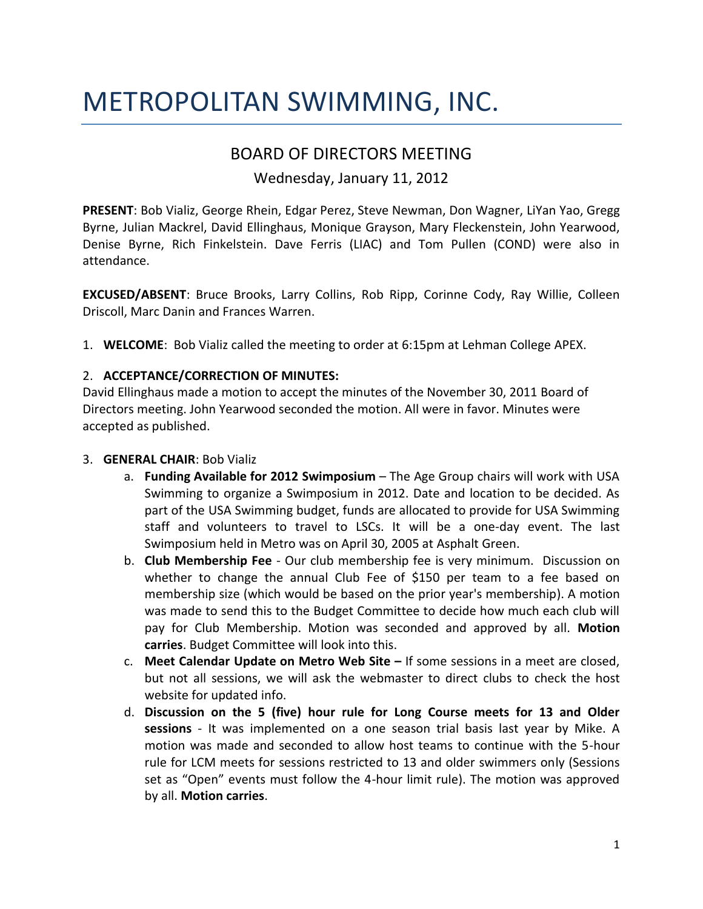# METROPOLITAN SWIMMING, INC.

# BOARD OF DIRECTORS MEETING

Wednesday, January 11, 2012

**PRESENT**: Bob Vializ, George Rhein, Edgar Perez, Steve Newman, Don Wagner, LiYan Yao, Gregg Byrne, Julian Mackrel, David Ellinghaus, Monique Grayson, Mary Fleckenstein, John Yearwood, Denise Byrne, Rich Finkelstein. Dave Ferris (LIAC) and Tom Pullen (COND) were also in attendance.

**EXCUSED/ABSENT**: Bruce Brooks, Larry Collins, Rob Ripp, Corinne Cody, Ray Willie, Colleen Driscoll, Marc Danin and Frances Warren.

1. **WELCOME**: Bob Vializ called the meeting to order at 6:15pm at Lehman College APEX.

## 2. **ACCEPTANCE/CORRECTION OF MINUTES:**

David Ellinghaus made a motion to accept the minutes of the November 30, 2011 Board of Directors meeting. John Yearwood seconded the motion. All were in favor. Minutes were accepted as published.

#### 3. **GENERAL CHAIR**: Bob Vializ

- a. **Funding Available for 2012 Swimposium** The Age Group chairs will work with USA Swimming to organize a Swimposium in 2012. Date and location to be decided. As part of the USA Swimming budget, funds are allocated to provide for USA Swimming staff and volunteers to travel to LSCs. It will be a one-day event. The last Swimposium held in Metro was on April 30, 2005 at Asphalt Green.
- b. **Club Membership Fee** Our club membership fee is very minimum. Discussion on whether to change the annual Club Fee of \$150 per team to a fee based on membership size (which would be based on the prior year's membership). A motion was made to send this to the Budget Committee to decide how much each club will pay for Club Membership. Motion was seconded and approved by all. **Motion carries**. Budget Committee will look into this.
- c. **Meet Calendar Update on Metro Web Site –** If some sessions in a meet are closed, but not all sessions, we will ask the webmaster to direct clubs to check the host website for updated info.
- d. **Discussion on the 5 (five) hour rule for Long Course meets for 13 and Older sessions** - It was implemented on a one season trial basis last year by Mike. A motion was made and seconded to allow host teams to continue with the 5-hour rule for LCM meets for sessions restricted to 13 and older swimmers only (Sessions set as "Open" events must follow the 4-hour limit rule). The motion was approved by all. **Motion carries**.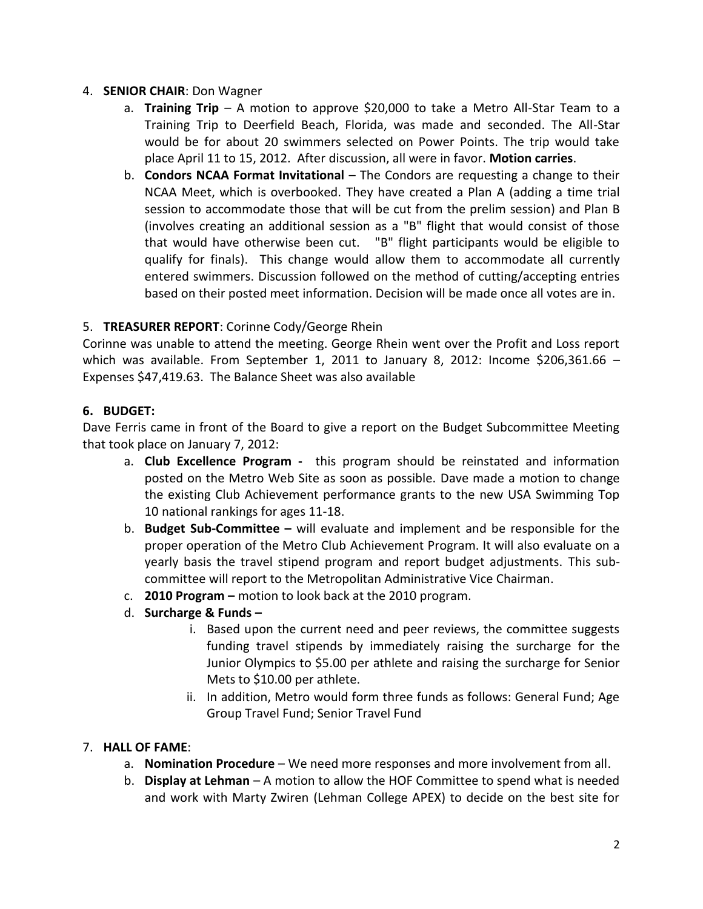#### 4. **SENIOR CHAIR**: Don Wagner

- a. **Training Trip** A motion to approve \$20,000 to take a Metro All-Star Team to a Training Trip to Deerfield Beach, Florida, was made and seconded. The All-Star would be for about 20 swimmers selected on Power Points. The trip would take place April 11 to 15, 2012. After discussion, all were in favor. **Motion carries**.
- b. **Condors NCAA Format Invitational** The Condors are requesting a change to their NCAA Meet, which is overbooked. They have created a Plan A (adding a time trial session to accommodate those that will be cut from the prelim session) and Plan B (involves creating an additional session as a "B" flight that would consist of those that would have otherwise been cut. "B" flight participants would be eligible to qualify for finals). This change would allow them to accommodate all currently entered swimmers. Discussion followed on the method of cutting/accepting entries based on their posted meet information. Decision will be made once all votes are in.

#### 5. **TREASURER REPORT**: Corinne Cody/George Rhein

Corinne was unable to attend the meeting. George Rhein went over the Profit and Loss report which was available. From September 1, 2011 to January 8, 2012: Income  $$206,361.66$  -Expenses \$47,419.63. The Balance Sheet was also available

#### **6. BUDGET:**

Dave Ferris came in front of the Board to give a report on the Budget Subcommittee Meeting that took place on January 7, 2012:

- a. **Club Excellence Program** this program should be reinstated and information posted on the Metro Web Site as soon as possible. Dave made a motion to change the existing Club Achievement performance grants to the new USA Swimming Top 10 national rankings for ages 11-18.
- b. **Budget Sub-Committee –** will evaluate and implement and be responsible for the proper operation of the Metro Club Achievement Program. It will also evaluate on a yearly basis the travel stipend program and report budget adjustments. This subcommittee will report to the Metropolitan Administrative Vice Chairman.
- c. **2010 Program –** motion to look back at the 2010 program.
- d. **Surcharge & Funds –**
	- i. Based upon the current need and peer reviews, the committee suggests funding travel stipends by immediately raising the surcharge for the Junior Olympics to \$5.00 per athlete and raising the surcharge for Senior Mets to \$10.00 per athlete.
	- ii. In addition, Metro would form three funds as follows: General Fund; Age Group Travel Fund; Senior Travel Fund

#### 7. **HALL OF FAME**:

- a. **Nomination Procedure** We need more responses and more involvement from all.
- b. **Display at Lehman**  A motion to allow the HOF Committee to spend what is needed and work with Marty Zwiren (Lehman College APEX) to decide on the best site for